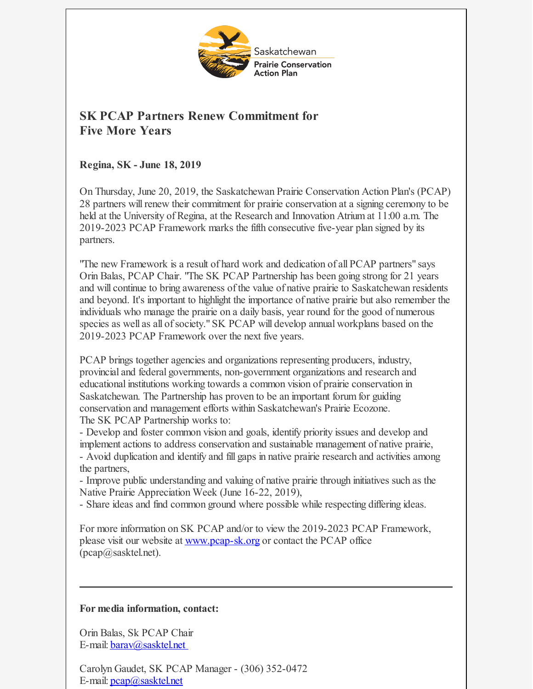

## **SK PCAP Partners Renew Commitment for Five More Years**

**Regina, SK - June 18, 2019**

On Thursday, June 20, 2019, the Saskatchewan Prairie Conservation Action Plan's (PCAP) 28 partners willrenew their commitment for prairie conservation at a signing ceremony to be held at the University of Regina, at the Research and Innovation Atrium at 11:00 a.m. The 2019-2023 PCAP Framework marks the fifth consecutive five-year plan signed by its partners.

"The new Framework is a result of hard work and dedication of all PCAP partners" says Orin Balas, PCAP Chair. "The SK PCAP Partnership has been going strong for 21 years and will continue to bring awareness of the value of native prairie to Saskatchewan residents and beyond. It's important to highlight the importance of native prairie but also remember the individuals who manage the prairie on a daily basis, year round for the good of numerous species as well as all of society." SK PCAP will develop annual workplans based on the 2019-2023 PCAP Framework over the next five years.

PCAP brings together agencies and organizations representing producers, industry, provincial and federal governments, non-government organizations and research and educational institutions working towards a common vision of prairie conservation in Saskatchewan. The Partnership has proven to be an important forum for guiding conservation and management efforts within Saskatchewan's Prairie Ecozone. The SK PCAP Partnership works to:

- Develop and foster common vision and goals, identify priority issues and develop and implement actions to address conservation and sustainable management of native prairie, - Avoid duplication and identify and fill gaps in native prairie research and activities among the partners,

- Improve public understanding and valuing of native prairie through initiatives such as the Native Prairie Appreciation Week (June 16-22, 2019),

- Share ideas and find common ground where possible while respecting differing ideas.

For more information on SK PCAP and/or to view the 2019-2023 PCAP Framework, please visit our website at [www.pcap-sk.org](http://www.pcap-sk.org) or contact the PCAP office (pcap@sasktel.net).

## **For media information, contact:**

Orin Balas, Sk PCAP Chair E-mail: **barav**@sasktel.net

Carolyn Gaudet, SK PCAP Manager - (306) 352-0472 E-mail: [pcap@sasktel.net](mailto:pcap@sasktel.net)